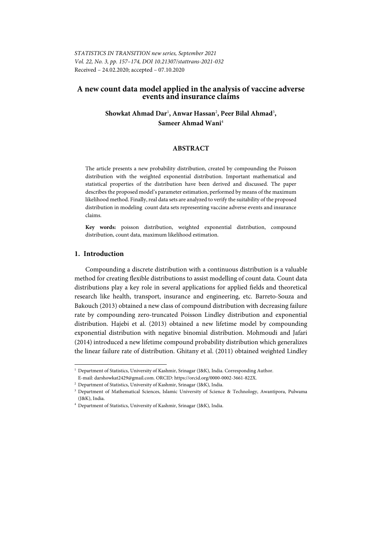# **A new count data model applied in the analysis of vaccine adverse events and insurance claims**

# Showkat Ahmad Dar<sup>1</sup>, Anwar Hassan<sup>2</sup>, Peer Bilal Ahmad<sup>3</sup>, **Sameer Ahmad Wani**<sup>4</sup>

## **ABSTRACT**

The article presents a new probability distribution, created by compounding the Poisson distribution with the weighted exponential distribution. Important mathematical and statistical properties of the distribution have been derived and discussed. The paper describes the proposed model's parameter estimation, performed by means of the maximum likelihood method. Finally, real data sets are analyzed to verify the suitability of the proposed distribution in modeling count data sets representing vaccine adverse events and insurance claims.

**Key words:** poisson distribution, weighted exponential distribution, compound distribution, count data, maximum likelihood estimation.

## **1. Introduction**

l

Compounding a discrete distribution with a continuous distribution is a valuable method for creating flexible distributions to assist modelling of count data. Count data distributions play a key role in several applications for applied fields and theoretical research like health, transport, insurance and engineering, etc. Barreto-Souza and Bakouch (2013) obtained a new class of compound distribution with decreasing failure rate by compounding zero-truncated Poisson Lindley distribution and exponential distribution. Hajebi et al. (2013) obtained a new lifetime model by compounding exponential distribution with negative binomial distribution. Mohmoudi and Jafari (2014) introduced a new lifetime compound probability distribution which generalizes the linear failure rate of distribution. Ghitany et al. (2011) obtained weighted Lindley

<sup>1</sup> Department of Statistics, University of Kashmir, Srinagar (J&K), India. Corresponding Author. E-mail: darshowkat2429@gmail.com. ORCID: https://orcid.org/0000-0002-3661-822X. 2

<sup>&</sup>lt;sup>2</sup> Department of Statistics, University of Kashmir, Srinagar (J&K), India.

<sup>&</sup>lt;sup>3</sup> Department of Mathematical Sciences, Islamic University of Science & Technology, Awantipora, Pulwama  $(I&K)$ , India.

<sup>4</sup> Department of Statistics, University of Kashmir, Srinagar (J&K), India.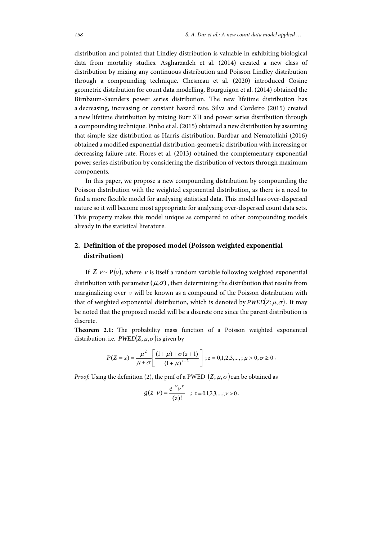distribution and pointed that Lindley distribution is valuable in exhibiting biological data from mortality studies. Asgharzadeh et al. (2014) created a new class of distribution by mixing any continuous distribution and Poisson Lindley distribution through a compounding technique. Chesneau et al. (2020) introduced Cosine geometric distribution for count data modelling. Bourguigon et al. (2014) obtained the Birnbaum-Saunders power series distribution. The new lifetime distribution has a decreasing, increasing or constant hazard rate. Silva and Cordeiro (2015) created a new lifetime distribution by mixing Burr XII and power series distribution through a compounding technique. Pinho et al. (2015) obtained a new distribution by assuming that simple size distribution as Harris distribution. Bardbar and Nematollahi (2016) obtained a modified exponential distribution-geometric distribution with increasing or decreasing failure rate. Flores et al. (2013) obtained the complementary exponential power series distribution by considering the distribution of vectors through maximum components.

In this paper, we propose a new compounding distribution by compounding the Poisson distribution with the weighted exponential distribution, as there is a need to find a more flexible model for analysing statistical data. This model has over-dispersed nature so it will become most appropriate for analysing over-dispersed count data sets. This property makes this model unique as compared to other compounding models already in the statistical literature.

# **2. Definition of the proposed model (Poisson weighted exponential distribution)**

If  $Z|v \sim P(v)$ , where v is itself a random variable following weighted exponential distribution with parameter  $(\mu,\sigma)$ , then determining the distribution that results from marginalizing over  $\nu$  will be known as a compound of the Poisson distribution with that of weighted exponential distribution, which is denoted by  $PWED(Z; \mu, \sigma)$ . It may be noted that the proposed model will be a discrete one since the parent distribution is discrete.

**Theorem 2.1:** The probability mass function of a Poisson weighted exponential distribution, i.e.  $P\text{WED}(Z;\mu,\sigma)$  is given by

$$
P(Z=z) = \frac{\mu^2}{\mu + \sigma} \left[ \frac{(1+\mu) + \sigma(z+1)}{(1+\mu)^{z+2}} \right]; z = 0,1,2,3,...,\mu > 0, \sigma \ge 0.
$$

*Proof:* Using the definition (2), the pmf of a PWED  $(Z; \mu, \sigma)$  can be obtained as

$$
g(z | \nu) = \frac{e^{-\nu} \nu^z}{(z)!} \quad ; \quad z = 0, 1, 2, 3, \dots; \nu > 0.
$$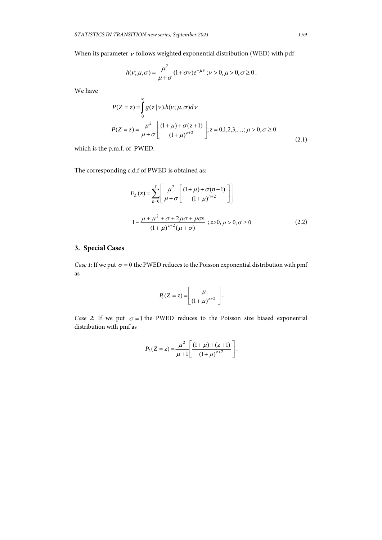$\overline{a}$ 

When its parameter  $\nu$  follows weighted exponential distribution (WED) with pdf

$$
h(v; \mu, \sigma) = \frac{\mu^2}{\mu + \sigma} (1 + \sigma v) e^{-\mu v}; v > 0, \mu > 0, \sigma \ge 0.
$$

We have

$$
P(Z = z) = \int_{0}^{\infty} g(z | v) h(v; \mu, \sigma) dv
$$
  

$$
P(Z = z) = \frac{\mu^{2}}{\mu + \sigma} \left[ \frac{(1 + \mu) + \sigma(z + 1)}{(1 + \mu)^{z + 2}} \right]; z = 0, 1, 2, 3, ...,; \mu > 0, \sigma \ge 0
$$
 (2.1)

which is the p.m.f. of PWED.

The corresponding c.d.f of PWED is obtained as:

$$
F_Z(z) = \sum_{n=0}^{z} \left[ \frac{\mu^2}{\mu + \sigma} \left[ \frac{(1+\mu) + \sigma(n+1)}{(1+\mu)^{n+2}} \right] \right]
$$
  

$$
1 - \frac{\mu + \mu^2 + \sigma + 2\mu\sigma + \mu\sigma x}{(1+\mu)^{z+2}(\mu + \sigma)} \; ; z > 0, \mu > 0, \sigma \ge 0 \tag{2.2}
$$

# **3. Special Cases**

*Case 1:* If we put  $\sigma = 0$  the PWED reduces to the Poisson exponential distribution with pmf as

$$
P_1(Z=z) = \left[\frac{\mu}{\left(1+\mu\right)^{z+2}}\right].
$$

*Case 2:* If we put  $\sigma = 1$  the PWED reduces to the Poisson size biased exponential distribution with pmf as

$$
P_2(Z=z) = \frac{\mu^2}{\mu+1} \left[ \frac{(1+\mu)+(z+1)}{(1+\mu)^{z+2}} \right].
$$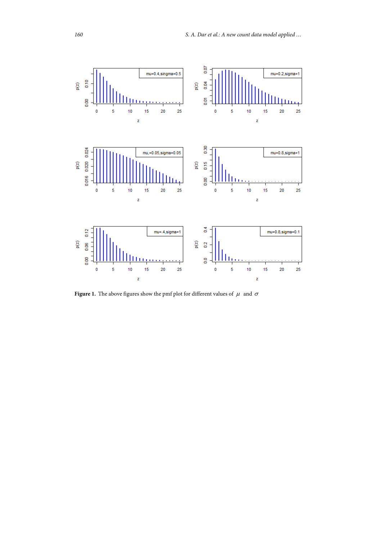

**Figure 1.** The above figures show the pmf plot for different values of  $\mu$  and  $\sigma$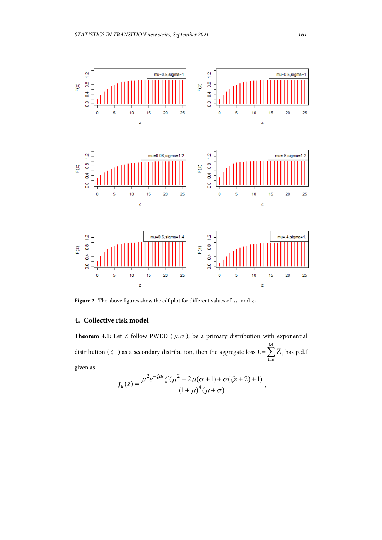

**Figure 2.** The above figures show the cdf plot for different values of  $\mu$  and  $\sigma$ 

# **4. Collective risk model**

**Theorem 4.1:** Let Z follow PWED ( $\mu$ , $\sigma$ ), be a primary distribution with exponential distribution ( $\zeta$ ) as a secondary distribution, then the aggregate loss U=  $\sum_{i=0}^{M}$  $i = 0$  $Z_i$  has p.d.f given as

$$
f_u(z) = \frac{\mu^2 e^{-\zeta \mu z} \zeta (\mu^2 + 2\mu(\sigma + 1) + \sigma(\zeta z + 2) + 1)}{(1 + \mu)^4 (\mu + \sigma)},
$$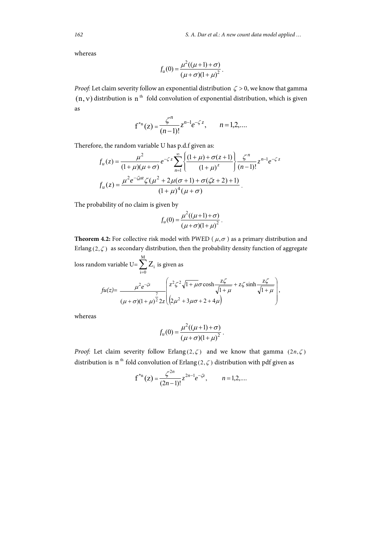*162 S. A. Dar et al.: A new count data model applied …*

whereas

$$
f_u(0) = \frac{\mu^2((\mu+1)+\sigma)}{(\mu+\sigma)(1+\mu)^2}.
$$

*Proof:* Let claim severity follow an exponential distribution  $\zeta > 0$ , we know that gamma  $(n, v)$  distribution is n<sup>th</sup> fold convolution of exponential distribution, which is given as

$$
f^{*n}(z) = \frac{\zeta^n}{(n-1)!} z^{n-1} e^{-\zeta z}, \qquad n = 1, 2, ....
$$

Therefore, the random variable U has p.d.f given as:

$$
f_u(z) = \frac{\mu^2}{(1+\mu)(\mu+\sigma)} e^{-\zeta z} \sum_{n=1}^{\infty} \left\{ \frac{(1+\mu)+\sigma(z+1)}{(1+\mu)^z} \right\} \frac{\zeta^n}{(n-1)!} z^{n-1} e^{-\zeta z}
$$

$$
f_u(z) = \frac{\mu^2 e^{-\zeta\mu z} \zeta (\mu^2 + 2\mu(\sigma+1) + \sigma(\zeta z+2) + 1)}{(1+\mu)^4 (\mu+\sigma)}.
$$

The probability of no claim is given by

$$
f_u(0) = \frac{\mu^2((\mu+1)+\sigma)}{(\mu+\sigma)(1+\mu)^2}.
$$

**Theorem 4.2:** For collective risk model with PWED ( $\mu$ , $\sigma$ ) as a primary distribution and Erlang  $(2,\zeta)$  as secondary distribution, then the probability density function of aggregate

loss random variable U=
$$
\sum_{i=0}^{M} Z_i
$$
 is given as  
\n
$$
fu(z) = \frac{\mu^2 e^{-\zeta z}}{(\mu + \sigma)(1 + \mu)^{\frac{7}{2}} 2z} \left( z^2 \zeta^2 \sqrt{1 + \mu} \sigma \cosh \frac{z \zeta}{\sqrt{1 + \mu}} + z \zeta \sinh \frac{z \zeta}{\sqrt{1 + \mu}} \right),
$$

whereas

$$
f_u(0) = \frac{\mu^2((\mu+1)+\sigma)}{(\mu+\sigma)(1+\mu)^2}.
$$

*Proof:* Let claim severity follow Erlang  $(2,\zeta)$  and we know that gamma  $(2n,\zeta)$ distribution is n<sup>th</sup> fold convolution of Erlang (2,  $\zeta$ ) distribution with pdf given as

$$
f^{*n}(z) = \frac{\zeta^{2n}}{(2n-1)!} z^{2n-1} e^{-\zeta z}, \qquad n = 1, 2, ...
$$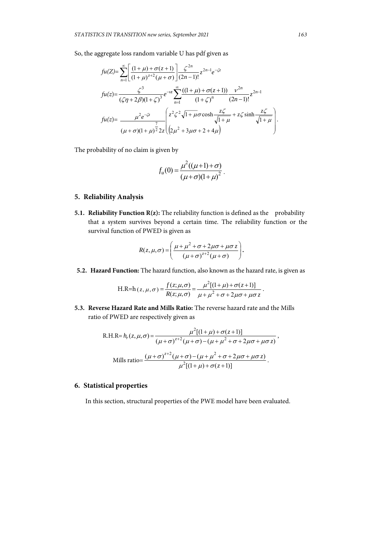So, the aggregate loss random variable U has pdf given as

$$
fu(Z) = \sum_{n=1}^{\infty} \left[ \frac{(1+\mu) + \sigma(z+1)}{(1+\mu)^{z+2}(\mu+\sigma)} \right] \frac{\zeta^{2n}}{(2n-1)!} z^{2n-1} e^{-\zeta z}
$$
  
\n
$$
fu(z) = \frac{\zeta^3}{(\zeta \eta + 2\beta)(1+\zeta)^3} e^{-\nu z} \sum_{n=1}^{\infty} \frac{((1+\mu) + \sigma(z+1))}{(1+\zeta)^n} \frac{\nu^{2n}}{(2n-1)!} z^{2n-1}
$$
  
\n
$$
fu(z) = \frac{\mu^2 e^{-\zeta z}}{(\mu+\sigma)(1+\mu)^2} \sum_{n=1}^{\infty} \left( \frac{z^2 \zeta^2 \sqrt{1+\mu \sigma} \cosh \frac{z\zeta}{\sqrt{1+\mu}}}{\sqrt{1+\mu}} + z \zeta \sinh \frac{z\zeta}{\sqrt{1+\mu}} \right).
$$

The probability of no claim is given by

$$
f_u(0) = \frac{\mu^2((\mu+1)+\sigma)}{(\mu+\sigma)(1+\mu)^2}.
$$

# **5. Reliability Analysis**

**5.1. Reliability Function R(z):** The reliability function is defined as the probability that a system survives beyond a certain time. The reliability function or the survival function of PWED is given as

$$
R(z,\mu,\sigma) = \left(\frac{\mu+\mu^2+\sigma+2\mu\sigma+\mu\sigma z}{(\mu+\sigma)^{z+2}(\mu+\sigma)}\right).
$$

**5.2. Hazard Function:** The hazard function, also known as the hazard rate, is given as

H.R=h
$$
(z, \mu, \sigma)
$$
 =  $\frac{f(z; \mu, \sigma)}{R(z; \mu, \sigma)} = \frac{\mu^2 [(1+\mu)+\sigma(z+1)]}{\mu+\mu^2+\sigma+2\mu\sigma+\mu\sigma z}$ .

**5.3. Reverse Hazard Rate and Mills Ratio:** The reverse hazard rate and the Mills ratio of PWED are respectively given as

R.H.R= 
$$
h_r(z, \mu, \sigma) = \frac{\mu^2 [(1+\mu) + \sigma(z+1)]}{(\mu + \sigma)^{z+2} (\mu + \sigma) - (\mu + \mu^2 + \sigma + 2\mu\sigma + \mu\sigma z)}
$$
,  
\nMills ratio=
$$
\frac{(\mu + \sigma)^{z+2} (\mu + \sigma) - (\mu + \mu^2 + \sigma + 2\mu\sigma + \mu\sigma z)}{\mu^2 [(1+\mu) + \sigma(z+1)]}.
$$

# **6. Statistical properties**

In this section, structural properties of the PWE model have been evaluated.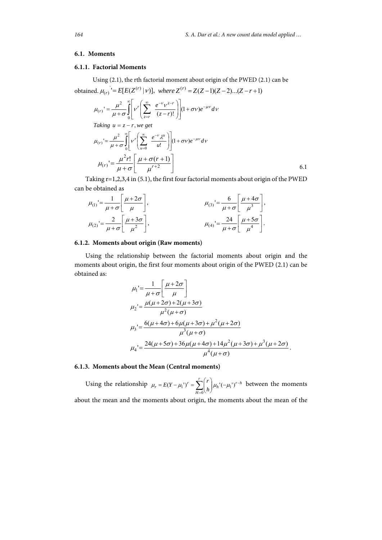#### **6.1. Moments**

## **6.1.1. Factorial Moments**

Using (2.1), the rth factorial moment about origin of the PWED (2.1) can be obtained.  $\mu_{(r)}$  '=  $E[E(Z^{(r)} | V)]$ , where  $Z^{(r)} = Z(Z-1)(Z-2)...(Z-r+1)$ 

$$
\mu_{(r)}' = \frac{\mu^2}{\mu + \sigma} \int_0^{\infty} \left[ v^r \left( \sum_{z=r}^{\infty} \frac{e^{-v} v^{z-r}}{(z-r)!} \right) \right] (1 + \sigma v) e^{-\mu v} dv
$$
  
\nTaking  $u = z - r$ , we get  
\n
$$
\mu_{(r)}' = \frac{\mu^2}{\mu + \sigma} \int_0^{\infty} \left[ v^r \left( \sum_{u=0}^{\infty} \frac{e^{-v} \lambda^u}{u!} \right) \right] (1 + \sigma v) e^{-\mu v} dv
$$
\n
$$
\mu_{(r)}' = \frac{\mu^2 r!}{\mu + \sigma} \left[ \frac{\mu + \sigma (r+1)}{\mu^{r+2}} \right]
$$
\n6.1

Taking r=1,2,3,4 in (5.1), the first four factorial moments about origin of the PWED can be obtained as

$$
\mu_{(1)}' = \frac{1}{\mu + \sigma} \left[ \frac{\mu + 2\sigma}{\mu} \right],
$$
\n
$$
\mu_{(2)}' = \frac{2}{\mu + \sigma} \left[ \frac{\mu + 3\sigma}{\mu^2} \right],
$$
\n
$$
\mu_{(3)}' = \frac{6}{\mu + \sigma} \left[ \frac{\mu + 4\sigma}{\mu^3} \right],
$$
\n
$$
\mu_{(4)}' = \frac{24}{\mu + \sigma} \left[ \frac{\mu + 5\sigma}{\mu^4} \right].
$$

### **6.1.2. Moments about origin (Raw moments)**

Using the relationship between the factorial moments about origin and the moments about origin, the first four moments about origin of the PWED (2.1) can be obtained as:

$$
\mu_1' = \frac{1}{\mu + \sigma} \left[ \frac{\mu + 2\sigma}{\mu} \right] \n\mu_2' = \frac{\mu(\mu + 2\sigma) + 2(\mu + 3\sigma)}{\mu^2(\mu + \sigma)} \n\mu_3' = \frac{6(\mu + 4\sigma) + 6\mu(\mu + 3\sigma) + \mu^2(\mu + 2\sigma)}{\mu^3(\mu + \sigma)} \n\mu_4' = \frac{24(\mu + 5\sigma) + 36\mu(\mu + 4\sigma) + 14\mu^2(\mu + 3\sigma) + \mu^3(\mu + 2\sigma)}{\mu^4(\mu + \sigma)}.
$$

# **6.1.3. Moments about the Mean (Central moments)**

Using the relationship  $\mu_r = E(Y - \mu_1^{\prime})^r = \sum_{l=1}^r \left| \mu_h^{\prime}(-\mu_1^{\prime})^{r-h} \right|$ *r H r <sup>r</sup> h <sup>r</sup> <sup>E</sup> <sup>Y</sup>*  $\sum_{n=0}^{\infty} \binom{n}{n} \mu_h^{-1}(-1)$ )  $\backslash$  $\overline{\phantom{a}}$  $= E(Y - \mu_1^{\prime})^r = \sum_{H=0}^r \binom{r}{h} \mu_h^{\prime}(-\mu_1^{\prime})$  $\mu_r = E(Y - \mu_1^r)^r = \sum_{l=1}^r \mu_l^r (-\mu_1^r)^{r-h}$  between the moments about the mean and the moments about origin, the moments about the mean of the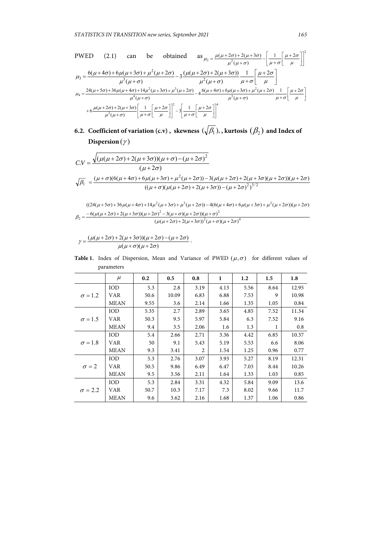$$
\text{PWED} \qquad (2.1) \qquad \text{can} \qquad \text{be} \qquad \text{obtained} \qquad \text{as} \qquad \mu_2 = \frac{\mu(\mu + 2\sigma) + 2(\mu + 3\sigma)}{\mu^2(\mu + \sigma)} - \left[\frac{1}{\mu + \sigma}\left[\frac{\mu + 2\sigma}{\mu}\right]\right]^2
$$
\n
$$
\mu_3 = \frac{6(\mu + 4\sigma) + 6\mu(\mu + 3\sigma) + \mu^2(\mu + 2\sigma)}{\mu^3(\mu + \sigma)} - 3\frac{(\mu(\mu + 2\sigma) + 2(\mu + 3\sigma))}{\mu^2(\mu + \sigma)} \frac{1}{\mu + \sigma}\left[\frac{\mu + 2\sigma}{\mu}\right]
$$
\n
$$
\mu_4 = \frac{24(\mu + 5\sigma) + 36\mu(\mu + 4\sigma) + 14\mu^2(\mu + 3\sigma) + \mu^3(\mu + 2\sigma)}{\mu^4(\mu + \sigma)} - 4\frac{6(\mu + 4\sigma) + 6\mu(\mu + 3\sigma) + \mu^2(\mu + 2\sigma)}{\mu^3(\mu + \sigma)} \frac{1}{\mu + \sigma}\left[\frac{\mu + 2\sigma}{\mu}\right]
$$
\n
$$
+ 6\frac{\mu(\mu + 2\sigma) + 2(\mu + 3\sigma)}{\mu^2(\mu + \sigma)} \left[\frac{1}{\mu + \sigma}\left[\frac{\mu + 2\sigma}{\mu}\right]\right]^2 - 3\left[\frac{1}{\mu + \sigma}\left[\frac{\mu + 2\sigma}{\mu}\right]\right]^4
$$

**6.2. Coefficient of variation (c.v), skewness**  $(\sqrt{\beta_1})$ **, kurtosis**  $(\beta_2)$  **and Index of Dispersion**  $(\gamma)$ 

$$
CV = \frac{\sqrt{(\mu(\mu + 2\sigma) + 2(\mu + 3\sigma))(\mu + \sigma) - (\mu + 2\sigma)^2}}{(\mu + 2\sigma)}
$$
  

$$
\sqrt{\beta_1} = \frac{(\mu + \sigma)(6(\mu + 4\sigma) + 6\mu(\mu + 3\sigma) + \mu^2(\mu + 2\sigma)) - 3(\mu(\mu + 2\sigma) + 2(\mu + 3\sigma)(\mu + 2\sigma))(\mu + 2\sigma)}{((\mu + \sigma)(\mu(\mu + 2\sigma) + 2(\mu + 3\sigma)) - (\mu + 2\sigma)^2)^{3/2}}
$$

 $^{2}(u + \pi)(u + 2\pi)^{4}$  $^{2}$  2(u | a)(u | 2a))(u | a)<sup>2</sup>  $((24(\mu+5\sigma)+36\mu(\mu+4\sigma)+14\mu^2(\mu+3\sigma)+\mu^3(\mu+2\sigma)) - 4(6(\mu+4\sigma)+6\mu(\mu+3\sigma)+\mu^2(\mu+2\sigma))(\mu+2\sigma)$  $(\mu(\mu+2\sigma) + 2(\mu+3\sigma))^2(\mu+\sigma)(\mu+2\sigma)$  $6(\mu(\mu+2\sigma)+2(\mu+3\sigma))(\mu+2\sigma)^2-3(\mu+\sigma)(\mu+2\sigma))(\mu+\sigma)$  $\mu(\mu+2\sigma)$  +  $2(\mu+3\sigma)$ )<sup>-</sup>  $(\mu+\sigma)(\mu+2\sigma)$  $\beta_2 = \frac{-6(\mu(\mu + 2\sigma) + 2(\mu + 3\sigma))(\mu + 2\sigma)^2 - 3(\mu + \sigma)(\mu + 2\sigma))(\mu + \sigma)^2}{(\mu(\mu + 2\sigma) + 2(\mu + 3\sigma))^2(\mu + \sigma)(\mu + 2\sigma)}$ 

$$
\gamma = \frac{(\mu(\mu+2\sigma)+2(\mu+3\sigma))(\mu+2\sigma)-(\mu+2\sigma)}{\mu(\mu+\sigma)(\mu+2\sigma)}.
$$

**Table 1.** Index of Dispersion, Mean and Variance of PWED  $(\mu, \sigma)$  for different values of parameters

|                | $\mu$       | 0.2  | 0.5   | 0.8  | 1    | 1.2  | 1.5  | 1.8   |
|----------------|-------------|------|-------|------|------|------|------|-------|
|                | IOD         | 5.3  | 2.8   | 3.19 | 4.13 | 5.56 | 8.64 | 12.95 |
| $\sigma = 1.2$ | VAR         | 50.6 | 10.09 | 6.83 | 6.88 | 7.53 | 9    | 10.98 |
|                | <b>MEAN</b> | 9.55 | 3.6   | 2.14 | 1.66 | 1.35 | 1.05 | 0.84  |
|                | IOD         | 5.35 | 2.7   | 2.89 | 3.65 | 4.85 | 7.52 | 11.34 |
| $\sigma = 1.5$ | <b>VAR</b>  | 50.3 | 9.5   | 5.97 | 5.84 | 6.3  | 7.52 | 9.16  |
|                | <b>MEAN</b> | 9.4  | 3.5   | 2.06 | 1.6  | 1.3  | 1    | 0.8   |
|                | <b>IOD</b>  | 5.4  | 2.66  | 2.71 | 3.36 | 4.42 | 6.85 | 10.37 |
| $\sigma = 1.8$ | <b>VAR</b>  | 50   | 9.1   | 5.43 | 5.19 | 5.53 | 6.6  | 8.06  |
|                | <b>MEAN</b> | 9.3  | 3.41  | 2    | 1.54 | 1.25 | 0.96 | 0.77  |
|                | <b>IOD</b>  | 5.3  | 2.76  | 3.07 | 3.93 | 5.27 | 8.19 | 12.31 |
| $\sigma = 2$   | VAR         | 50.5 | 9.86  | 6.49 | 6.47 | 7.03 | 8.44 | 10.26 |
|                | <b>MEAN</b> | 9.5  | 3.56  | 2.11 | 1.64 | 1.33 | 1.03 | 0.85  |
|                | IOD         | 5.3  | 2.84  | 3.31 | 4.32 | 5.84 | 9.09 | 13.6  |
| $\sigma = 2.2$ | VAR         | 50.7 | 10.3  | 7.17 | 7.3  | 8.02 | 9.66 | 11.7  |
|                | <b>MEAN</b> | 9.6  | 3.62  | 2.16 | 1.68 | 1.37 | 1.06 | 0.86  |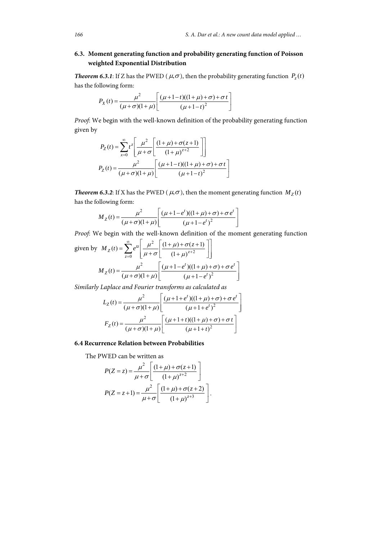$\overline{a}$ 

# **6.3. Moment generating function and probability generating function of Poisson weighted Exponential Distribution**

*Theorem 6.3.1*: If Z has the PWED ( $\mu$ , $\sigma$ ), then the probability generating function  $P_{\tau}(t)$ has the following form:

$$
P_X(t) = \frac{\mu^2}{(\mu + \sigma)(1 + \mu)} \left[ \frac{(\mu + 1 - t)((1 + \mu) + \sigma) + \sigma t}{(\mu + 1 - t)^2} \right]
$$

*Proof*: We begin with the well-known definition of the probability generating function given by

$$
P_Z(t) = \sum_{x=0}^{\infty} t^z \left[ \frac{\mu^2}{\mu + \sigma} \left[ \frac{(1+\mu) + \sigma(z+1)}{(1+\mu)^{z+2}} \right] \right]
$$
  

$$
P_Z(t) = \frac{\mu^2}{(\mu + \sigma)(1+\mu)} \left[ \frac{(\mu+1-t)((1+\mu)+\sigma)+\sigma t}{(\mu+1-t)^2} \right]
$$

*Theorem 6.3.2:* If X has the PWED ( $\mu$ , $\sigma$ ), then the moment generating function  $M_Z(t)$ has the following form:

$$
M_Z(t) = \frac{\mu^2}{(\mu + \sigma)(1 + \mu)} \left[ \frac{(\mu + 1 - e^t)((1 + \mu) + \sigma) + \sigma e^t}{(\mu + 1 - e^t)^2} \right]
$$

*Proof*: We begin with the well-known definition of the moment generating function

given by 
$$
M_Z(t) = \sum_{z=0}^{\infty} e^{tz} \left[ \frac{\mu^2}{\mu + \sigma} \left[ \frac{(1+\mu) + \sigma(z+1)}{(1+\mu)^{z+2}} \right] \right]
$$
  

$$
M_Z(t) = \frac{\mu^2}{(\mu + \sigma)(1+\mu)} \left[ \frac{(\mu + 1 - e^t)((1+\mu) + \sigma) + \sigma e^t}{(\mu + 1 - e^t)^2} \right]
$$

*Similarly Laplace and Fourier transforms as calculated as* 

$$
L_Z(t) = \frac{\mu^2}{(\mu + \sigma)(1 + \mu)} \left[ \frac{(\mu + 1 + e^t)((1 + \mu) + \sigma) + \sigma e^t}{(\mu + 1 + e^t)^2} \right]
$$

$$
F_Z(t) = \frac{\mu^2}{(\mu + \sigma)(1 + \mu)} \left[ \frac{(\mu + 1 + t)((1 + \mu) + \sigma) + \sigma t}{(\mu + 1 + t)^2} \right]
$$

### **6.4 Recurrence Relation between Probabilities**

The PWED can be written as

$$
P(Z = z) = \frac{\mu^2}{\mu + \sigma} \left[ \frac{(1 + \mu) + \sigma(z + 1)}{(1 + \mu)^{z + 2}} \right]
$$

$$
P(Z = z + 1) = \frac{\mu^2}{\mu + \sigma} \left[ \frac{(1 + \mu) + \sigma(z + 2)}{(1 + \mu)^{z + 3}} \right].
$$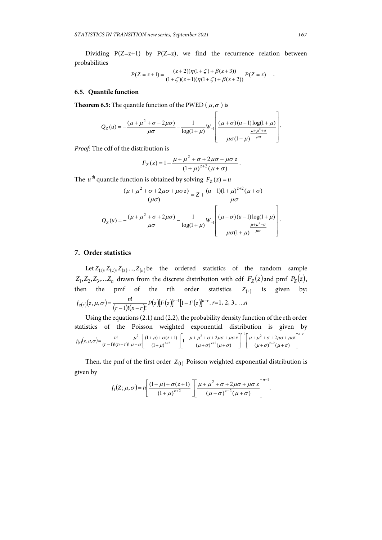Dividing  $P(Z=z+1)$  by  $P(Z=z)$ , we find the recurrence relation between probabilities

$$
P(Z = z + 1) = \frac{(z+2)(\eta(1+\zeta) + \beta(z+3))}{(1+\zeta)(z+1)(\eta(1+\zeta) + \beta(z+2))} P(Z = z) .
$$

#### **6.5. Quantile function**

**Theorem 6.5:** The quantile function of the PWED ( $\mu$ , $\sigma$ ) is

$$
Q_Z(u) = -\frac{(\mu + \mu^2 + \sigma + 2\mu\sigma)}{\mu\sigma} - \frac{1}{\log(1 + \mu)} W_{-1} \left[ \frac{(\mu + \sigma)(u - 1)\log(1 + \mu)}{\mu\sigma(1 + \mu)} \right].
$$

*Proof:* The cdf of the distribution is

$$
F_Z(z) = 1 - \frac{\mu + \mu^2 + \sigma + 2\mu\sigma + \mu\sigma z}{(1 + \mu)^{z+2}(\mu + \sigma)}.
$$

The *u*<sup>th</sup> quantile function is obtained by solving  $F_z(z) = u$ 

$$
\frac{-(\mu+\mu^2+\sigma+2\mu\sigma+\mu\sigma z)}{(\mu\sigma)} = Z + \frac{(\mu+1)(1+\mu)^{z+2}(\mu+\sigma)}{\mu\sigma}
$$

$$
Q_Z(u) = -\frac{(\mu+\mu^2+\sigma+2\mu\sigma)}{\mu\sigma} - \frac{1}{\log(1+\mu)} W_{-1} \left[ \frac{(\mu+\sigma)(\mu-1)\log(1+\mu)}{\mu\sigma(1+\mu)^{\frac{\mu+\mu^2+\sigma}{\mu\sigma}}}\right].
$$

# **7. Order statistics**

Let  $Z_{(1)}, Z_{(2)}, Z_{(3)},..., Z_{(n)}$  be the ordered statistics of the random sample  $Z_1, Z_2, Z_3, \ldots, Z_n$  drawn from the discrete distribution with cdf  $F_Z(z)$  and pmf  $P_Z(z)$ , then the pmf of the rth order statistics  $Z_{(r)}$  is given by:  $f_{z(r)}(z,\mu,\sigma) = \frac{n!}{(r-1)!(n-r)!} P(z)[F(z)]^{r-1}[1-F(z)]^{n-r}$ .  $r=1, 2, 3,...,n$ 

Using the equations (2.1) and (2.2), the probability density function of the rth order statistics of the Poisson weighted exponential distribution is given by  $\mathcal{L}_{(r)}(z,\mu,\sigma)$  $n - r$ *z r*  $\mu$   $r$   $(x, \mu, \sigma) = \frac{n!}{(x-1)!(n-x)!} \frac{\mu^2}{u+\sigma} \left[ \frac{(1+\mu)+\sigma(z+1)}{(1+\mu)^{z+2}} \right] \left[ 1 - \frac{\mu+\mu^2+\sigma+2\mu\sigma+\mu\sigma x}{(u+\sigma)^{x+2}(u+\sigma)} \right] \left[ \frac{\mu+\mu^2+\sigma+2\mu\sigma+\mu\sigma x}{(u+\sigma)^{x+2}(u+\sigma)} \right]$  $f(r)(z, \mu, \sigma) = \frac{n!}{(r-1)!(n-r)!} \frac{\mu^2}{\mu + \sigma} \left[ \frac{(1+\mu)+\sigma(z+1)}{(1+\mu)^{z+2}} \right] \left[ 1 - \frac{\mu+\mu^2+\sigma+2\mu\sigma+\mu\sigma x}{(\mu+\sigma)^{x+2}(\mu+\sigma)} \right]^{r-1} \left[ \frac{\mu+\mu^2+\sigma+2\mu\sigma+\mu\sigma x}{(\mu+\sigma)^{z+2}(\mu+\sigma)} \right]^{n-r}$  $^{+}$  $\overline{a}$  l I  $+\sigma$ <sup>z+2</sup> $(\mu +$  $+\mu^2+\sigma+2\mu\sigma+$  $\overline{\phantom{a}}$ l ļ.  $\left[\frac{(1+\mu)+\sigma(z+1)}{(1+\mu)^{z+2}}\right]\left[1-\frac{\mu+\mu^2+\sigma+2\mu\sigma+2}{(\mu+\sigma)^{x+2}(\mu+\sigma)}\right]$ I  $^{+}$  $=\frac{n!}{(r-1)!(n-r)!}\frac{\mu^2}{\mu+\sigma}\left|\frac{(1+\mu)+\sigma(z+1))}{(1+\mu)^{z+2}}\right|\left|1-\frac{\mu+\mu^2+\sigma+2\mu\sigma+\mu\sigma x}{(\mu+\sigma)^{x+2}(\mu+\sigma)}\right|\left|\frac{\mu+\mu^2+\sigma+2\mu\sigma+\mu\sigma x}{(\mu+\sigma)^{z+2}(\mu+\sigma)}\right|$  $\frac{(\mu)+\sigma(z+1)}{(1+\mu)^{z+2}}$   $\left| 1 - \frac{\mu+\mu^2+\sigma+2\mu\sigma+\mu}{(\mu+\sigma)^{x+2}(\mu+\sigma)} \right|$  $(1 + \mu) + \sigma(z + 1)$  $(\mu, \sigma) = \frac{n!}{(r-1)!(n-r)!} \frac{\mu^2}{\mu + \sigma} \left[ \frac{(1+\mu)+\sigma(z+1)}{(1+\mu)^{z+2}} \right] \left[ 1 - \frac{\mu+\mu^2+\sigma+2\mu\sigma+\mu\sigma x}{(\mu+\sigma)^{x+2}(\mu+\sigma)} \right]^{r-1} \left[ \frac{\mu+\mu^2+\sigma+x}{(\mu+\sigma)^{z+2}} \right]$ 2 2 2 2  $(\mu + \sigma)^{3}$   $(\mu + \sigma)$  $\mu$  +  $\mu$   $\bar{}$  +  $\sigma$  + 2 μ $\sigma$  + μ $\sigma$  $(\mu + \sigma)^{n}$   $(\mu + \sigma)$  $\mu$  +  $\mu$   $\bar{}$  +  $\sigma$  + 2 $\mu$ σ +  $\mu$ σ  $\mu$  $\mu$ ) +  $\sigma$  $(\mu,\sigma) = \frac{n!}{(r-1)!(n-r)!} \frac{\mu^2}{\mu+\sigma}$ 

Then, the pmf of the first order  $Z_{(1)}$  Poisson weighted exponential distribution is given by

$$
f_1(Z;\mu,\sigma) = n \left[ \frac{(1+\mu)+\sigma(z+1)}{(1+\mu)^{z+2}} \right] \left[ \frac{\mu+\mu^2+\sigma+2\mu\sigma+\mu\sigma z}{(\mu+\sigma)^{z+2}(\mu+\sigma)} \right]^{n-1}.
$$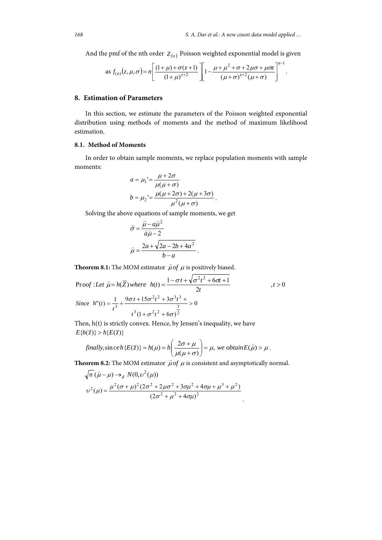And the pmf of the nth order  $Z_{(n)}$  Poisson weighted exponential model is given

as 
$$
f_{(n)}(z,\mu,\sigma) = n \left[ \frac{(1+\mu)+\sigma(z+1)}{(1+\mu)^{z+2}} \right] \left[ 1 - \frac{\mu+\mu^2+\sigma+2\mu\sigma+\mu\sigma z}{(\mu+\sigma)^{z+2}(\mu+\sigma)} \right]^{n-1}.
$$

## **8. Estimation of Parameters**

In this section, we estimate the parameters of the Poisson weighted exponential distribution using methods of moments and the method of maximum likelihood estimation.

# **8.1. Method of Moments**

In order to obtain sample moments, we replace population moments with sample moments:

$$
a = \mu_1' = \frac{\mu + 2\sigma}{\mu(\mu + \sigma)}
$$

$$
b = \mu_2' = \frac{\mu(\mu + 2\sigma) + 2(\mu + 3\sigma)}{\mu^2(\mu + \sigma)}.
$$

Solving the above equations of sample moments, we get

$$
\hat{\sigma} = \frac{\hat{\mu} - a\hat{\mu}^2}{\hat{a}\hat{\mu} - 2}
$$

$$
\hat{\mu} = \frac{2a + \sqrt{2a - 2b + 4a^2}}{b - a}.
$$

**Theorem 8.1:** The MOM estimator  $\hat{\mu}$  of  $\mu$  is positively biased.

Proof: Let 
$$
\hat{\mu} = h(\overline{Z})
$$
 where  $h(t) = \frac{1 - \sigma t + \sqrt{\sigma^2 t^2 + 6\sigma t + 1}}{2t}$ ,  $t > 0$   
\nSince  $h''(t) = \frac{1}{t^3} + \frac{9\sigma t + 15\sigma^2 t^2 + 3\sigma^3 t^3 + 3\sigma^4 t^2 + 6\sigma^2 t^2 + 6\sigma^3 t^3}{t^3(1 + \sigma^2 t^2 + 6\sigma)^2} > 0$ 

Then, h(t) is strictly convex. Hence, by Jensen's inequality, we have  $E\{h(\overline{z})\} > h\{E(\overline{z})\}$ 

$$
\text{finally}, \sin c e h \{E(\overline{z})\} = h(\mu) = h \left( \frac{2\sigma + \mu}{\mu(\mu + \sigma)} \right) = \mu, \text{ we obtain } E(\widehat{\mu}) > \mu.
$$

**Theorem 8.2:** The MOM estimator  $\hat{\mu}$  of  $\mu$  is consistent and asymptotically normal.

$$
\sqrt{n} (\hat{\mu} - \mu) \rightarrow_d N(0, \nu^2(\mu))
$$
  

$$
\nu^2(\mu) = \frac{\mu^2 (\sigma + \mu)^2 (2\sigma^2 + 2\mu \sigma^2 + 3\sigma \mu^2 + 4\sigma \mu + \mu^3 + \mu^2)}{(2\sigma^2 + \mu^2 + 4\sigma \mu)^2}.
$$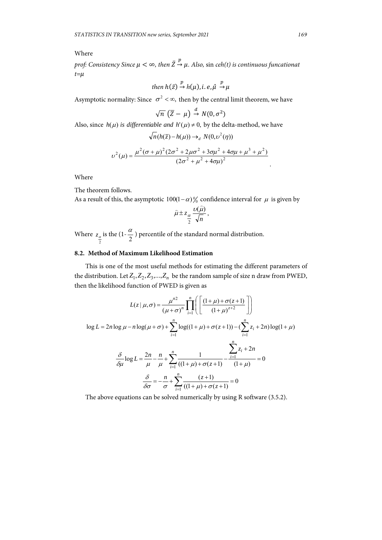# Where

 $\text{prof:}$  Consistency Since  $\mu < \infty$ , then  $\bar{Z} \stackrel{p}{\rightarrow} \mu$ . Also,  $\sin \text{ceh}(t)$  is continuous funcationat  $t = \mu$ 

then 
$$
h(\bar{z}) \stackrel{p}{\rightarrow} h(\mu)
$$
, *i. e*,  $\hat{\mu} \stackrel{p}{\rightarrow} \mu$ 

Asymptotic normality: Since  $\sigma^2 < \infty$ , then by the central limit theorem, we have

$$
\sqrt{n} \left( \overline{Z} - \mu \right) \stackrel{d}{\rightarrow} N(0, \sigma^2)
$$

Also, since  $h(\mu)$  *is differentiable and*  $h'(\mu) \neq 0$ , by the delta-method, we have

$$
\sqrt{n}(h(\bar{z}) - h(\mu)) \to_d N(0, \nu^2(\eta))
$$

$$
\nu^2(\mu) = \frac{\mu^2(\sigma + \mu)^2(2\sigma^2 + 2\mu\sigma^2 + 3\sigma\mu^2 + 4\sigma\mu + \mu^3 + \mu^2)}{(2\sigma^2 + \mu^2 + 4\sigma\mu)^2}
$$

Where

The theorem follows.

As a result of this, the asymptotic  $100(1-\alpha)\%$  confidence interval for  $\mu$  is given by

$$
\hat{\mu} \pm z_{\frac{\alpha}{2}} \frac{\nu(\hat{\mu})}{\sqrt{n}},
$$

Where  $z_{\frac{\alpha}{2}}$  is the (1- $\frac{\alpha}{2}$ ) percentile of the standard normal distribution.

# **8.2. Method of Maximum Likelihood Estimation**

This is one of the most useful methods for estimating the different parameters of the distribution. Let  $Z_1, Z_2, Z_3, \ldots, Z_n$  be the random sample of size n draw from PWED, then the likelihood function of PWED is given as

$$
L(z | \mu, \sigma) = \frac{\mu^{n2}}{(\mu + \sigma)^n} \prod_{i=1}^n \left( \frac{(1 + \mu) + \sigma(z + 1)}{(1 + \mu)^{z + 2}} \right)
$$
  
\n
$$
\log L = 2n \log \mu - n \log(\mu + \sigma) + \sum_{i=1}^n \log((1 + \mu) + \sigma(z + 1)) - (\sum_{i=1}^n z_i + 2n) \log(1 + \mu)
$$
  
\n
$$
\frac{\delta}{\delta \mu} \log L = \frac{2n}{\mu} - \frac{n}{\mu} + \sum_{i=1}^n \frac{1}{((1 + \mu) + \sigma(z + 1))} - \frac{\sum_{i=1}^n z_i + 2n}{(1 + \mu)} = 0
$$
  
\n
$$
\frac{\delta}{\delta \sigma} = -\frac{n}{\sigma} + \sum_{i=1}^n \frac{(z + 1)}{((1 + \mu) + \sigma(z + 1))} = 0
$$

The above equations can be solved numerically by using R software (3.5.2).

.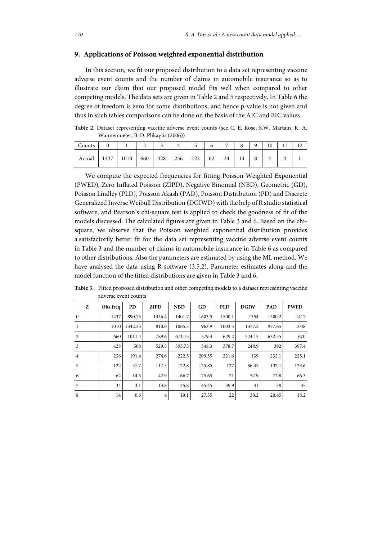## **9. Applications of Poisson weighted exponential distribution**

In this section, we fit our proposed distribution to a data set representing vaccine adverse event counts and the number of claims in automobile insurance so as to illustrate our claim that our proposed model fits well when compared to other competing models. The data sets are given in Table 2 and 5 respectively. In Table 6 the degree of freedom is zero for some distributions, and hence p-value is not given and thus in such tables comparisons can be done on the basis of the AIC and BIC values.

**Table 2.** Dataset representing vaccine adverse event counts (see C. E. Rose, S.W. Martain, K. A. Wannemueler, B. D. Plikaytis (2006))

| Counts |      |      |     |     |     |     | n  | -  | $\Omega$ | a             | $\mathbf{1} \cap$<br>ΙU |  |
|--------|------|------|-----|-----|-----|-----|----|----|----------|---------------|-------------------------|--|
| Actual | 1437 | 1010 | 660 | 428 | 236 | 122 | 62 | 34 | 14       | $\Omega$<br>Ō |                         |  |

We compute the expected frequencies for fitting Poisson Weighted Exponential (PWED), Zero Inflated Poisson (ZIPD), Negative Binomial (NBD), Geometric (GD), Poisson Lindley (PLD), Poisson Akash (PAD), Poisson Distribution (PD) and Discrete Generalized Inverse Weibull Distribution (DGIWD) with the help of R studio statistical software, and Pearson's chi-square test is applied to check the goodness of fit of the models discussed. The calculated figures are given in Table 3 and 6. Based on the chisquare, we observe that the Poisson weighted exponential distribution provides a satisfactorily better fit for the data set representing vaccine adverse event counts in Table 3 and the number of claims in automobile insurance in Table 6 as compared to other distributions. Also the parameters are estimated by using the ML method. We have analysed the data using R software (3.5.2). Parameter estimates along and the model function of the fitted distributions are given in Table 3 and 6.

| Z              | Obs.freq | <b>PD</b> | <b>ZIPD</b>    | <b>NBD</b> | GD     | <b>PLD</b> | <b>DGIW</b> | <b>PAD</b> | <b>PWED</b> |
|----------------|----------|-----------|----------------|------------|--------|------------|-------------|------------|-------------|
| $\mathbf{0}$   | 1437     | 890.75    | 1436.4         | 1401.7     | 1603.5 | 1500.1     | 1354        | 1500.2     | 1417        |
| 1              | 1010     | 1342.35   | 810.6          | 1065.3     | 963.9  | 1003.5     | 1377.2      | 977.65     | 1048        |
| 2              | 660      | 1011.4    | 789.6          | 671.15     | 579.4  | 629.2      | 524.15      | 632.55     | 670         |
| 3              | 428      | 508       | 529.5          | 393.75     | 348.3  | 378.7      | 248.9       | 392        | 397.4       |
| $\overline{4}$ | 236      | 191.4     | 274.6          | 222.5      | 209.35 | 221.6      | 139         | 232.1      | 225.1       |
| 5              | 122      | 57.7      | 117.3          | 122.8      | 125.85 | 127        | 86.45       | 132.1      | 123.6       |
| 6              | 62       | 14.5      | 42.9           | 66.7       | 75.65  | 71         | 57.9        | 72.8       | 66.3        |
| 7              | 34       | 3.1       | 13.8           | 35.8       | 45.45  | 39.9       | 41          | 39         | 35          |
| 8              | 14       | 0.6       | $\overline{4}$ | 19.1       | 27.35  | 22         | 30.2        | 20.45      | 18.2        |

**Table 3.** Fitted proposed distribution and other competing models to a dataset representing vaccine adverse event counts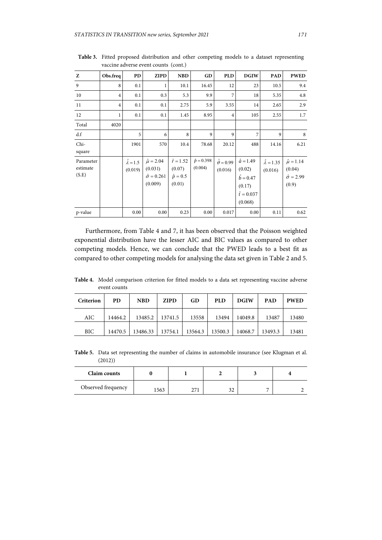| Z                              | Obs.freq       | PD                               | <b>ZIPD</b>                                                        | <b>NBD</b>                                              | GD                           | <b>PLD</b>                       | <b>DGIW</b>                                                                        | <b>PAD</b>                        | <b>PWED</b>                                                    |
|--------------------------------|----------------|----------------------------------|--------------------------------------------------------------------|---------------------------------------------------------|------------------------------|----------------------------------|------------------------------------------------------------------------------------|-----------------------------------|----------------------------------------------------------------|
| 9                              | 8              | 0.1                              | 1                                                                  | 10.1                                                    | 16.45                        | 12                               | 23                                                                                 | 10.5                              | 9.4                                                            |
| 10                             | $\overline{4}$ | 0.1                              | 0.3                                                                | 5.3                                                     | 9.9                          | 7                                | 18                                                                                 | 5.35                              | 4.8                                                            |
| 11                             | $\overline{4}$ | 0.1                              | 0.1                                                                | 2.75                                                    | 5.9                          | 3.55                             | 14                                                                                 | 2.65                              | 2.9                                                            |
| 12                             | 1              | 0.1                              | 0.1                                                                | 1.45                                                    | 8.95                         | $\overline{4}$                   | 105                                                                                | 2.55                              | 1.7                                                            |
| Total                          | 4020           |                                  |                                                                    |                                                         |                              |                                  |                                                                                    |                                   |                                                                |
| d.f                            |                | 5                                | 6                                                                  | 8                                                       | 9                            | 9                                | 7                                                                                  | 9                                 | 8                                                              |
| Chi-<br>square                 |                | 1901                             | 570                                                                | 10.4                                                    | 78.68                        | 20.12                            | 488                                                                                | 14.16                             | 6.21                                                           |
| Parameter<br>estimate<br>(S.E) |                | $\hat{\lambda} = 1.5$<br>(0.019) | $\hat{\mu} = 2.04$<br>(0.031)<br>$\hat{\sigma} = 0.261$<br>(0.009) | $\hat{r} = 1.52$<br>(0.07)<br>$\hat{p} = 0.5$<br>(0.01) | $\hat{p} = 0.398$<br>(0.004) | $\hat{\theta} = 0.99$<br>(0.016) | $\hat{a} = 1.49$<br>(0.02)<br>$b = 0.47$<br>(0.17)<br>$\hat{t} = 0.037$<br>(0.068) | $\hat{\lambda} = 1.35$<br>(0.016) | $\hat{\mu} = 1.14$<br>(0.04)<br>$\hat{\sigma} = 2.99$<br>(0.9) |
| p-value                        |                | 0.00                             | 0.00                                                               | 0.23                                                    | 0.00                         | 0.017                            | 0.00                                                                               | 0.11                              | 0.62                                                           |

**Table 3.** Fitted proposed distribution and other competing models to a dataset representing vaccine adverse event counts (cont.)

Furthermore, from Table 4 and 7, it has been observed that the Poisson weighted exponential distribution have the lesser AIC and BIC values as compared to other competing models. Hence, we can conclude that the PWED leads to a best fit as compared to other competing models for analysing the data set given in Table 2 and 5.

**Table 4.** Model comparison criterion for fitted models to a data set representing vaccine adverse event counts

| Criterion | PD.     | <b>NBD</b>       | <b>ZIPD</b> | GD      | <b>PLD</b> | <b>DGIW</b> | <b>PAD</b> | <b>PWED</b> |
|-----------|---------|------------------|-------------|---------|------------|-------------|------------|-------------|
| AIC       | 14464.2 | 13485.2          | 13741.5     | 13558   | 13494      | 14049.8     | 13487      | 13480       |
| BIC       | 14470.5 | 13486.33 13754.1 |             | 13564.3 | 13500.3    | 14068.7     | 13493.3    | 13481       |

**Table 5.** Data set representing the number of claims in automobile insurance (see Klugman et al. (2012))

| Claim counts       |      |  |             |                          |  |  |
|--------------------|------|--|-------------|--------------------------|--|--|
| Observed frequency | .563 |  | ົາ າ<br>ے ر | $\overline{\phantom{a}}$ |  |  |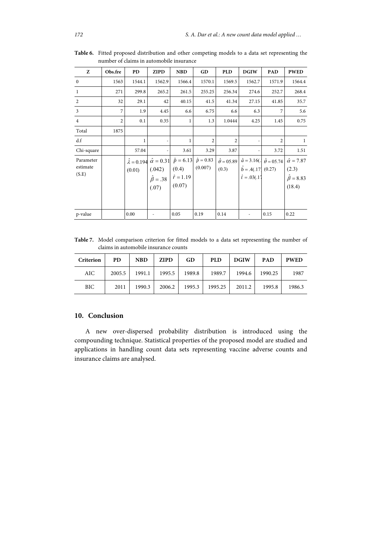| Z                              | Obs.fre        | PD     | ZIPD                                   | <b>NBD</b>                                                                                                                | GD             | <b>PLD</b>                      | <b>DGIW</b>                                  | <b>PAD</b>                                 | <b>PWED</b>                                                      |
|--------------------------------|----------------|--------|----------------------------------------|---------------------------------------------------------------------------------------------------------------------------|----------------|---------------------------------|----------------------------------------------|--------------------------------------------|------------------------------------------------------------------|
| $\mathbf{0}$                   | 1563           | 1544.1 | 1562.9                                 | 1566.4                                                                                                                    | 1570.1         | 1569.5                          | 1562.7                                       | 1571.9                                     | 1564.4                                                           |
| 1                              | 271            | 299.8  | 265.2                                  | 261.5                                                                                                                     | 255.25         | 256.34                          | 274.6                                        | 252.7                                      | 268.4                                                            |
| 2                              | 32             | 29.1   | 42                                     | 40.15                                                                                                                     | 41.5           | 41.34                           | 27.15                                        | 41.85                                      | 35.7                                                             |
| 3                              | 7              | 1.9    | 4.45                                   | 6.6                                                                                                                       | 6.75           | 6.6                             | 6.3                                          | 7                                          | 5.6                                                              |
| $\overline{4}$                 | $\overline{2}$ | 0.1    | 0.35                                   | 1                                                                                                                         | 1.3            | 1.0444                          | 4.25                                         | 1.45                                       | 0.75                                                             |
| Total                          | 1875           |        |                                        |                                                                                                                           |                |                                 |                                              |                                            |                                                                  |
| d.f                            |                | 1      |                                        | 1                                                                                                                         | $\overline{2}$ | $\overline{c}$                  |                                              | $\overline{2}$                             | $\mathbf{1}$                                                     |
| Chi-square                     |                | 57.04  |                                        | 3.61                                                                                                                      | 3.29           | 3.87                            |                                              | 3.72                                       | 1.51                                                             |
| Parameter<br>estimate<br>(S.E) |                | (0.01) | (.042)<br>$\hat{\beta} = .38$<br>(.07) | $\hat{\lambda} = 0.194 \; \hat{\alpha} = 0.31 \; \hat{p} = 6.13 \; \hat{p} = 0.83$<br>(0.4)<br>$\hat{r} = 1.19$<br>(0.07) | (0.007)        | $\hat{\theta} = 05.89$<br>(0.3) | $b = .4(.17)$ (0.27)<br>$\hat{t} = .03(.17)$ | $\hat{a} = 3.16($ . $\hat{\theta} = 05.74$ | $\hat{\alpha} = 7.87$<br>(2.3)<br>$\hat{\beta} = 8.83$<br>(18.4) |
| p-value                        |                | 0.00   |                                        | 0.05                                                                                                                      | 0.19           | 0.14                            |                                              | 0.15                                       | 0.22                                                             |

**Table 6.** Fitted proposed distribution and other competing models to a data set representing the number of claims in automobile insurance

**Table 7.** Model comparison criterion for fitted models to a data set representing the number of claims in automobile insurance counts

| Criterion  | <b>PD</b> | <b>NBD</b> | <b>ZIPD</b> | GD     | <b>PLD</b> | <b>DGIW</b> | <b>PAD</b> | <b>PWED</b> |
|------------|-----------|------------|-------------|--------|------------|-------------|------------|-------------|
| AIC        | 2005.5    | 1991.1     | 1995.5      | 1989.8 | 1989.7     | 1994.6      | 1990.25    | 1987        |
| <b>BIC</b> | 2011      | 1990.3     | 2006.2      | 1995.3 | 1995.25    | 2011.2      | 1995.8     | 1986.3      |

# **10. Conclusion**

A new over-dispersed probability distribution is introduced using the compounding technique. Statistical properties of the proposed model are studied and applications in handling count data sets representing vaccine adverse counts and insurance claims are analysed.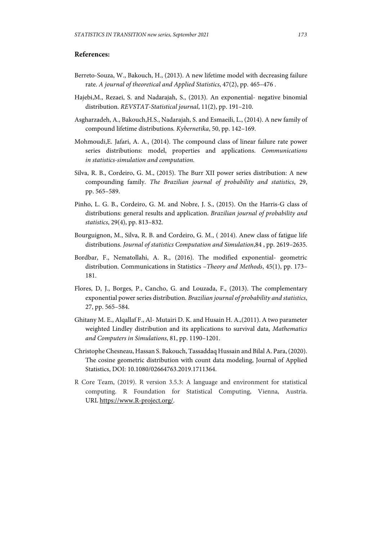# **References:**

- Berreto-Souza, W., Bakouch, H., (2013). A new lifetime model with decreasing failure rate. *A journal of theoretical and Applied Statistics*, 47(2), pp. 465–476 .
- Hajebi,M., Rezaei, S. and Nadarajah, S., (2013). An exponential- negative binomial distribution. *REVSTAT-Statistical journal*, 11(2), pp. 191–210.
- Asgharzadeh, A., Bakouch,H.S., Nadarajah, S. and Esmaeili, L., (2014). A new family of compound lifetime distributions*. Kybernetika*, 50, pp. 142–169.
- Mohmoudi,E. Jafari, A. A., (2014). The compound class of linear failure rate power series distributions: model, properties and applications. *Communications in statistics-simulation and computation.*
- Silva, R. B., Cordeiro, G. M., (2015). The Burr XII power series distribution: A new compounding family. *The Brazilian journal of probability and statistics*, 29, pp. 565–589.
- Pinho, L. G. B., Cordeiro, G. M. and Nobre, J. S., (2015). On the Harris-G class of distributions: general results and application. *Brazilian journal of probability and statistics*, 29(4), pp. 813–832.
- Bourguignon, M., Silva, R. B. and Cordeiro, G. M., ( 2014). Anew class of fatigue life distributions. *Journal of statistics Computation and Simulation*,84 , pp. 2619–2635.
- Bordbar, F., Nematollahi, A. R., (2016). The modified exponential- geometric distribution. Communications in Statistics –*Theory and Methods*, 45(1), pp. 173– 181.
- Flores, D, J., Borges, P., Cancho, G. and Louzada, F., (2013). The complementary exponential power series distribution*. Brazilian journal of probability and statistics*, 27, pp. 565–584.
- Ghitany M. E., Alqallaf F., Al- Mutairi D. K. and Husain H. A.,(2011). A two parameter weighted Lindley distribution and its applications to survival data, *Mathematics and Computers in Simulations*, 81, pp. 1190–1201.
- Christophe Chesneau, Hassan S. Bakouch, Tassaddaq Hussain and Bilal A. Para, (2020). The cosine geometric distribution with count data modeling, Journal of Applied Statistics, DOI: 10.1080/02664763.2019.1711364.
- R Core Team, (2019). R version 3.5.3: A language and environment for statistical computing. R Foundation for Statistical Computing, Vienna, Austria. URL https://www.R-project.org/.